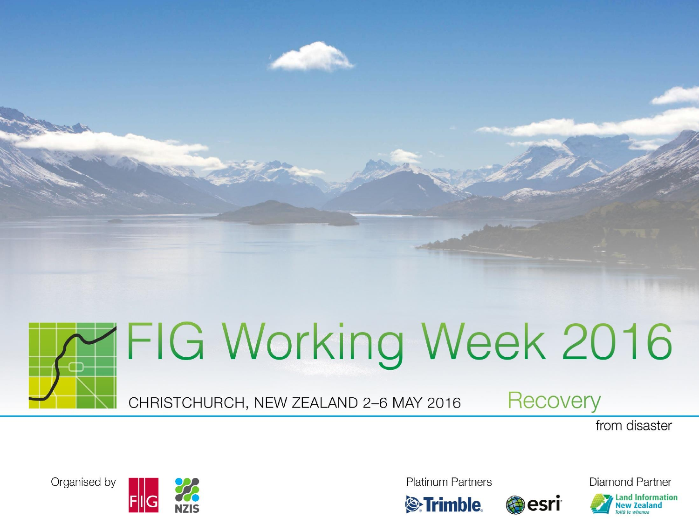



CHRISTCHURCH, NEW ZEALAND 2-6 MAY 2016

**Recovery** 

from disaster

Organised by



**Platinum Partners** 





**Diamond Partner Land Information** 

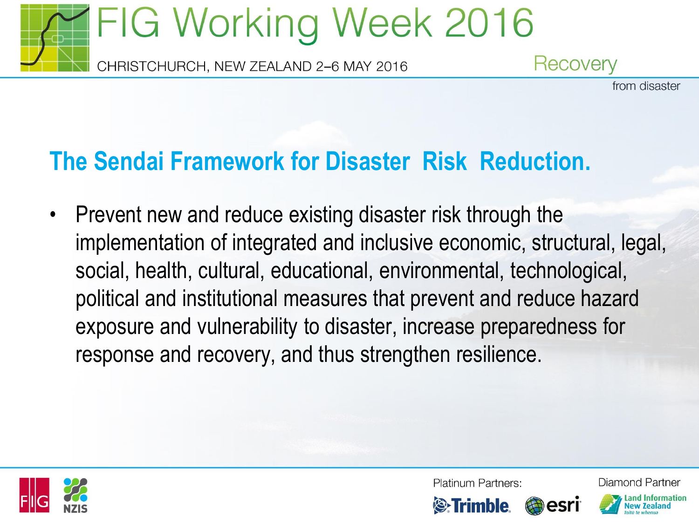

## **The Sendai Framework for Disaster Risk Reduction.**

• Prevent new and reduce existing disaster risk through the implementation of integrated and inclusive economic, structural, legal, social, health, cultural, educational, environmental, technological, political and institutional measures that prevent and reduce hazard exposure and vulnerability to disaster, increase preparedness for response and recovery, and thus strengthen resilience.



Platinum Partners:

and Information.

Diamond Partner

from disaster



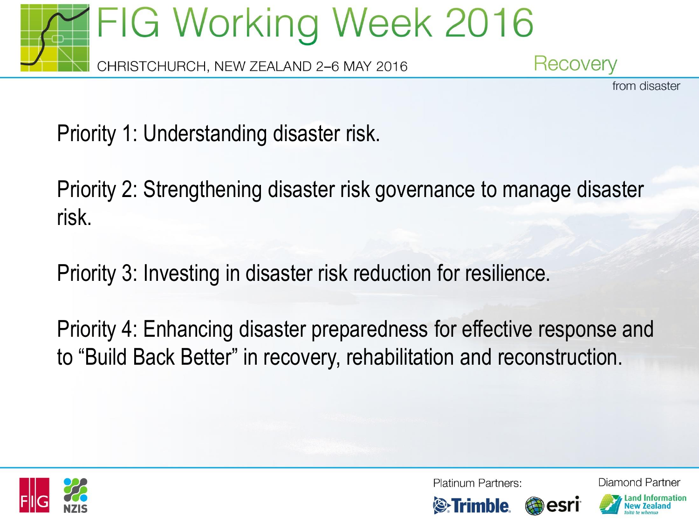

from disaster

Priority 1: Understanding disaster risk.

Priority 2: Strengthening disaster risk governance to manage disaster risk.

Priority 3: Investing in disaster risk reduction for resilience.

Priority 4: Enhancing disaster preparedness for effective response and to "Build Back Better" in recovery, rehabilitation and reconstruction.



Platinum Partners:

Diamond Partner and Information.



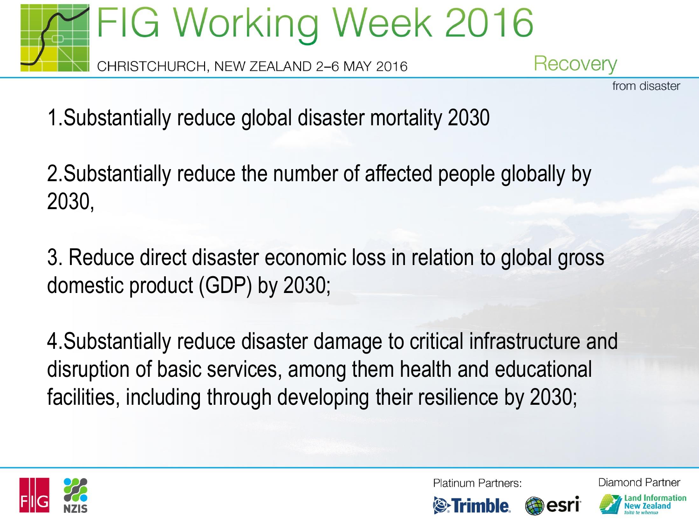

from disaster

1.Substantially reduce global disaster mortality 2030

2.Substantially reduce the number of affected people globally by 2030,

3. Reduce direct disaster economic loss in relation to global gross domestic product (GDP) by 2030;

4.Substantially reduce disaster damage to critical infrastructure and disruption of basic services, among them health and educational facilities, including through developing their resilience by 2030;



Platinum Partners:

Diamond Partner





esr

and Information.